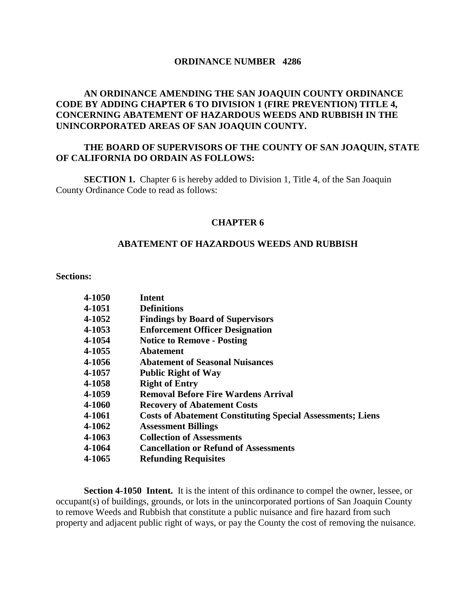#### **ORDINANCE NUMBER 4286**

# **AN ORDINANCE AMENDING THE SAN JOAQUIN COUNTY ORDINANCE CODE BY ADDING CHAPTER 6 TO DIVISION 1 (FIRE PREVENTION) TITLE 4, CONCERNING ABATEMENT OF HAZARDOUS WEEDS AND RUBBISH IN THE UNINCORPORATED AREAS OF SAN JOAQUIN COUNTY.**

## **THE BOARD OF SUPERVISORS OF THE COUNTY OF SAN JOAQUIN, STATE OF CALIFORNIA DO ORDAIN AS FOLLOWS:**

**SECTION 1.** Chapter 6 is hereby added to Division 1, Title 4, of the San Joaquin County Ordinance Code to read as follows:

#### **CHAPTER 6**

#### **ABATEMENT OF HAZARDOUS WEEDS AND RUBBISH**

#### **Sections:**

| 4-1050        | Intent                                                            |
|---------------|-------------------------------------------------------------------|
| 4-1051        | <b>Definitions</b>                                                |
| 4-1052        | <b>Findings by Board of Supervisors</b>                           |
| 4-1053        | <b>Enforcement Officer Designation</b>                            |
| 4-1054        | <b>Notice to Remove - Posting</b>                                 |
| 4-1055        | <b>Abatement</b>                                                  |
| 4-1056        | <b>Abatement of Seasonal Nuisances</b>                            |
| 4-1057        | <b>Public Right of Way</b>                                        |
| 4-1058        | <b>Right of Entry</b>                                             |
| 4-1059        | <b>Removal Before Fire Wardens Arrival</b>                        |
| <b>4-1060</b> | <b>Recovery of Abatement Costs</b>                                |
| 4-1061        | <b>Costs of Abatement Constituting Special Assessments; Liens</b> |
| 4-1062        | <b>Assessment Billings</b>                                        |
| 4-1063        | <b>Collection of Assessments</b>                                  |
| 4-1064        | <b>Cancellation or Refund of Assessments</b>                      |
| 4-1065        | <b>Refunding Requisites</b>                                       |

**Section 4-1050 Intent.** It is the intent of this ordinance to compel the owner, lessee, or occupant(s) of buildings, grounds, or lots in the unincorporated portions of San Joaquin County to remove Weeds and Rubbish that constitute a public nuisance and fire hazard from such property and adjacent public right of ways, or pay the County the cost of removing the nuisance.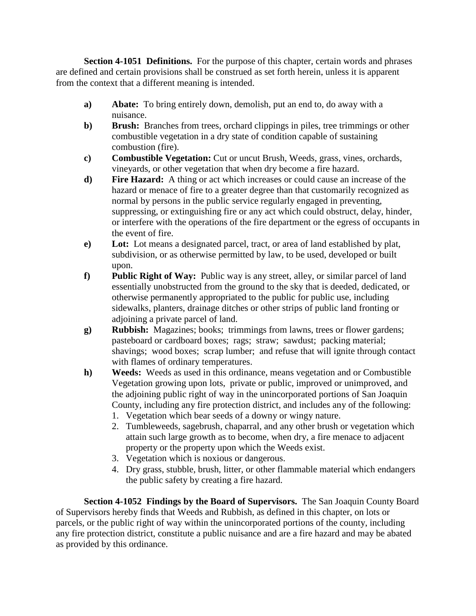**Section 4-1051 Definitions.** For the purpose of this chapter, certain words and phrases are defined and certain provisions shall be construed as set forth herein, unless it is apparent from the context that a different meaning is intended.

- **a) Abate:** To bring entirely down, demolish, put an end to, do away with a nuisance.
- **b) Brush:** Branches from trees, orchard clippings in piles, tree trimmings or other combustible vegetation in a dry state of condition capable of sustaining combustion (fire).
- **c) Combustible Vegetation:** Cut or uncut Brush, Weeds, grass, vines, orchards, vineyards, or other vegetation that when dry become a fire hazard.
- **d) Fire Hazard:** A thing or act which increases or could cause an increase of the hazard or menace of fire to a greater degree than that customarily recognized as normal by persons in the public service regularly engaged in preventing, suppressing, or extinguishing fire or any act which could obstruct, delay, hinder, or interfere with the operations of the fire department or the egress of occupants in the event of fire.
- **e) Lot:** Lot means a designated parcel, tract, or area of land established by plat, subdivision, or as otherwise permitted by law, to be used, developed or built upon.
- **f) Public Right of Way:** Public way is any street, alley, or similar parcel of land essentially unobstructed from the ground to the sky that is deeded, dedicated, or otherwise permanently appropriated to the public for public use, including sidewalks, planters, drainage ditches or other strips of public land fronting or adjoining a private parcel of land.
- **g) Rubbish:** Magazines; books; trimmings from lawns, trees or flower gardens; pasteboard or cardboard boxes; rags; straw; sawdust; packing material; shavings; wood boxes; scrap lumber; and refuse that will ignite through contact with flames of ordinary temperatures.
- **h) Weeds:** Weeds as used in this ordinance, means vegetation and or Combustible Vegetation growing upon lots, private or public, improved or unimproved, and the adjoining public right of way in the unincorporated portions of San Joaquin County, including any fire protection district, and includes any of the following:
	- 1. Vegetation which bear seeds of a downy or wingy nature.
	- 2. Tumbleweeds, sagebrush, chaparral, and any other brush or vegetation which attain such large growth as to become, when dry, a fire menace to adjacent property or the property upon which the Weeds exist.
	- 3. Vegetation which is noxious or dangerous.
	- 4. Dry grass, stubble, brush, litter, or other flammable material which endangers the public safety by creating a fire hazard.

 **Section 4-1052 Findings by the Board of Supervisors.** The San Joaquin County Board of Supervisors hereby finds that Weeds and Rubbish, as defined in this chapter, on lots or parcels, or the public right of way within the unincorporated portions of the county, including any fire protection district, constitute a public nuisance and are a fire hazard and may be abated as provided by this ordinance.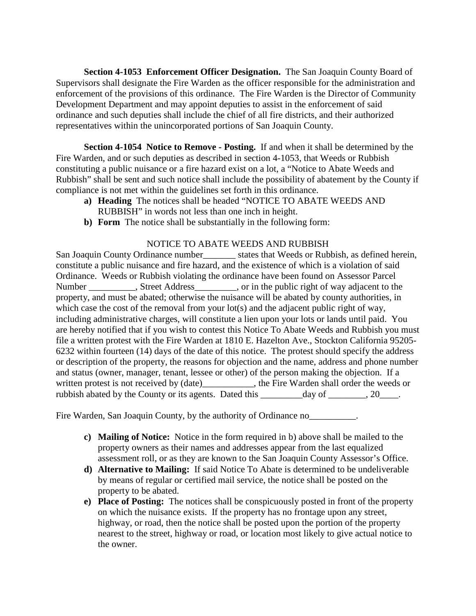**Section 4-1053 Enforcement Officer Designation.** The San Joaquin County Board of Supervisors shall designate the Fire Warden as the officer responsible for the administration and enforcement of the provisions of this ordinance. The Fire Warden is the Director of Community Development Department and may appoint deputies to assist in the enforcement of said ordinance and such deputies shall include the chief of all fire districts, and their authorized representatives within the unincorporated portions of San Joaquin County.

**Section 4-1054 Notice to Remove - Posting.** If and when it shall be determined by the Fire Warden, and or such deputies as described in section 4-1053, that Weeds or Rubbish constituting a public nuisance or a fire hazard exist on a lot, a "Notice to Abate Weeds and Rubbish" shall be sent and such notice shall include the possibility of abatement by the County if compliance is not met within the guidelines set forth in this ordinance.

- **a) Heading** The notices shall be headed "NOTICE TO ABATE WEEDS AND RUBBISH" in words not less than one inch in height.
- **b) Form** The notice shall be substantially in the following form:

## NOTICE TO ABATE WEEDS AND RUBBISH

San Joaquin County Ordinance number\_\_\_\_\_\_\_ states that Weeds or Rubbish, as defined herein, constitute a public nuisance and fire hazard, and the existence of which is a violation of said Ordinance. Weeds or Rubbish violating the ordinance have been found on Assessor Parcel Number Street Address, Street Address, or in the public right of way adjacent to the property, and must be abated; otherwise the nuisance will be abated by county authorities, in which case the cost of the removal from your lot(s) and the adjacent public right of way, including administrative charges, will constitute a lien upon your lots or lands until paid. You are hereby notified that if you wish to contest this Notice To Abate Weeds and Rubbish you must file a written protest with the Fire Warden at 1810 E. Hazelton Ave., Stockton California 95205- 6232 within fourteen (14) days of the date of this notice. The protest should specify the address or description of the property, the reasons for objection and the name, address and phone number and status (owner, manager, tenant, lessee or other) of the person making the objection. If a written protest is not received by (date) the Fire Warden shall order the weeds or rubbish abated by the County or its agents. Dated this \_\_\_\_\_\_\_\_\_day of \_\_\_\_\_\_, 20\_\_\_.

Fire Warden, San Joaquin County, by the authority of Ordinance no

- **c) Mailing of Notice:** Notice in the form required in b) above shall be mailed to the property owners as their names and addresses appear from the last equalized assessment roll, or as they are known to the San Joaquin County Assessor's Office.
- **d) Alternative to Mailing:** If said Notice To Abate is determined to be undeliverable by means of regular or certified mail service, the notice shall be posted on the property to be abated.
- **e) Place of Posting:** The notices shall be conspicuously posted in front of the property on which the nuisance exists. If the property has no frontage upon any street, highway, or road, then the notice shall be posted upon the portion of the property nearest to the street, highway or road, or location most likely to give actual notice to the owner.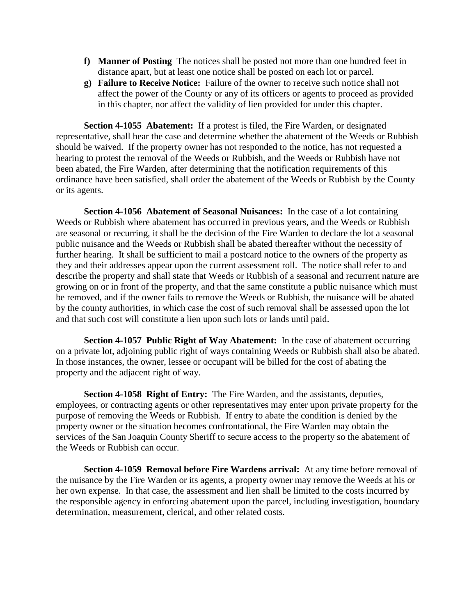- **f) Manner of Posting** The notices shall be posted not more than one hundred feet in distance apart, but at least one notice shall be posted on each lot or parcel.
- **g) Failure to Receive Notice:** Failure of the owner to receive such notice shall not affect the power of the County or any of its officers or agents to proceed as provided in this chapter, nor affect the validity of lien provided for under this chapter.

**Section 4-1055 Abatement:** If a protest is filed, the Fire Warden, or designated representative, shall hear the case and determine whether the abatement of the Weeds or Rubbish should be waived. If the property owner has not responded to the notice, has not requested a hearing to protest the removal of the Weeds or Rubbish, and the Weeds or Rubbish have not been abated, the Fire Warden, after determining that the notification requirements of this ordinance have been satisfied, shall order the abatement of the Weeds or Rubbish by the County or its agents.

**Section 4-1056 Abatement of Seasonal Nuisances:** In the case of a lot containing Weeds or Rubbish where abatement has occurred in previous years, and the Weeds or Rubbish are seasonal or recurring, it shall be the decision of the Fire Warden to declare the lot a seasonal public nuisance and the Weeds or Rubbish shall be abated thereafter without the necessity of further hearing. It shall be sufficient to mail a postcard notice to the owners of the property as they and their addresses appear upon the current assessment roll. The notice shall refer to and describe the property and shall state that Weeds or Rubbish of a seasonal and recurrent nature are growing on or in front of the property, and that the same constitute a public nuisance which must be removed, and if the owner fails to remove the Weeds or Rubbish, the nuisance will be abated by the county authorities, in which case the cost of such removal shall be assessed upon the lot and that such cost will constitute a lien upon such lots or lands until paid.

**Section 4-1057 Public Right of Way Abatement:** In the case of abatement occurring on a private lot, adjoining public right of ways containing Weeds or Rubbish shall also be abated. In those instances, the owner, lessee or occupant will be billed for the cost of abating the property and the adjacent right of way.

**Section 4-1058 Right of Entry:** The Fire Warden, and the assistants, deputies, employees, or contracting agents or other representatives may enter upon private property for the purpose of removing the Weeds or Rubbish. If entry to abate the condition is denied by the property owner or the situation becomes confrontational, the Fire Warden may obtain the services of the San Joaquin County Sheriff to secure access to the property so the abatement of the Weeds or Rubbish can occur.

**Section 4-1059 Removal before Fire Wardens arrival:** At any time before removal of the nuisance by the Fire Warden or its agents, a property owner may remove the Weeds at his or her own expense. In that case, the assessment and lien shall be limited to the costs incurred by the responsible agency in enforcing abatement upon the parcel, including investigation, boundary determination, measurement, clerical, and other related costs.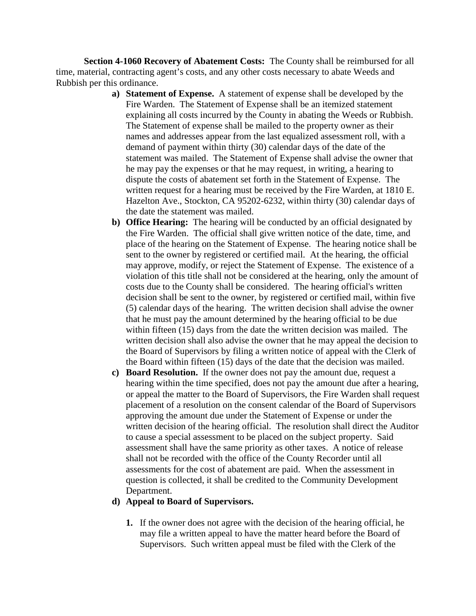**Section 4-1060 Recovery of Abatement Costs:** The County shall be reimbursed for all time, material, contracting agent's costs, and any other costs necessary to abate Weeds and Rubbish per this ordinance.

- **a) Statement of Expense.** A statement of expense shall be developed by the Fire Warden. The Statement of Expense shall be an itemized statement explaining all costs incurred by the County in abating the Weeds or Rubbish. The Statement of expense shall be mailed to the property owner as their names and addresses appear from the last equalized assessment roll, with a demand of payment within thirty (30) calendar days of the date of the statement was mailed. The Statement of Expense shall advise the owner that he may pay the expenses or that he may request, in writing, a hearing to dispute the costs of abatement set forth in the Statement of Expense. The written request for a hearing must be received by the Fire Warden, at 1810 E. Hazelton Ave., Stockton, CA 95202-6232, within thirty (30) calendar days of the date the statement was mailed.
- **b) Office Hearing:** The hearing will be conducted by an official designated by the Fire Warden. The official shall give written notice of the date, time, and place of the hearing on the Statement of Expense. The hearing notice shall be sent to the owner by registered or certified mail. At the hearing, the official may approve, modify, or reject the Statement of Expense. The existence of a violation of this title shall not be considered at the hearing, only the amount of costs due to the County shall be considered. The hearing official's written decision shall be sent to the owner, by registered or certified mail, within five (5) calendar days of the hearing. The written decision shall advise the owner that he must pay the amount determined by the hearing official to be due within fifteen (15) days from the date the written decision was mailed. The written decision shall also advise the owner that he may appeal the decision to the Board of Supervisors by filing a written notice of appeal with the Clerk of the Board within fifteen (15) days of the date that the decision was mailed.
- **c) Board Resolution.** If the owner does not pay the amount due, request a hearing within the time specified, does not pay the amount due after a hearing, or appeal the matter to the Board of Supervisors, the Fire Warden shall request placement of a resolution on the consent calendar of the Board of Supervisors approving the amount due under the Statement of Expense or under the written decision of the hearing official. The resolution shall direct the Auditor to cause a special assessment to be placed on the subject property. Said assessment shall have the same priority as other taxes. A notice of release shall not be recorded with the office of the County Recorder until all assessments for the cost of abatement are paid. When the assessment in question is collected, it shall be credited to the Community Development Department.

#### **d) Appeal to Board of Supervisors.**

**1.** If the owner does not agree with the decision of the hearing official, he may file a written appeal to have the matter heard before the Board of Supervisors. Such written appeal must be filed with the Clerk of the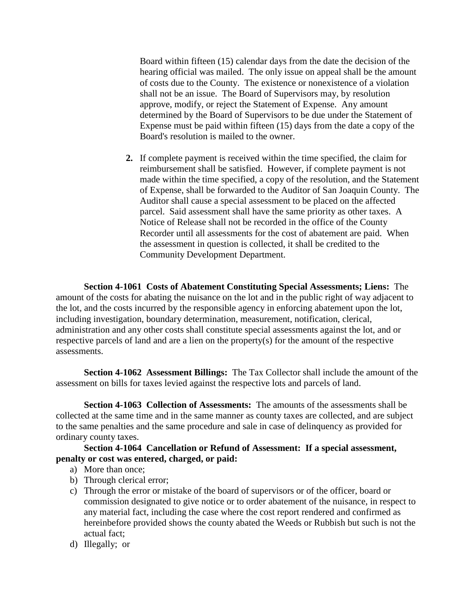Board within fifteen (15) calendar days from the date the decision of the hearing official was mailed. The only issue on appeal shall be the amount of costs due to the County. The existence or nonexistence of a violation shall not be an issue. The Board of Supervisors may, by resolution approve, modify, or reject the Statement of Expense. Any amount determined by the Board of Supervisors to be due under the Statement of Expense must be paid within fifteen (15) days from the date a copy of the Board's resolution is mailed to the owner.

**2.** If complete payment is received within the time specified, the claim for reimbursement shall be satisfied. However, if complete payment is not made within the time specified, a copy of the resolution, and the Statement of Expense, shall be forwarded to the Auditor of San Joaquin County. The Auditor shall cause a special assessment to be placed on the affected parcel. Said assessment shall have the same priority as other taxes. A Notice of Release shall not be recorded in the office of the County Recorder until all assessments for the cost of abatement are paid. When the assessment in question is collected, it shall be credited to the Community Development Department.

**Section 4-1061 Costs of Abatement Constituting Special Assessments; Liens:** The amount of the costs for abating the nuisance on the lot and in the public right of way adjacent to the lot, and the costs incurred by the responsible agency in enforcing abatement upon the lot, including investigation, boundary determination, measurement, notification, clerical, administration and any other costs shall constitute special assessments against the lot, and or respective parcels of land and are a lien on the property(s) for the amount of the respective assessments.

**Section 4-1062 Assessment Billings:** The Tax Collector shall include the amount of the assessment on bills for taxes levied against the respective lots and parcels of land.

**Section 4-1063 Collection of Assessments:** The amounts of the assessments shall be collected at the same time and in the same manner as county taxes are collected, and are subject to the same penalties and the same procedure and sale in case of delinquency as provided for ordinary county taxes.

# **Section 4-1064 Cancellation or Refund of Assessment: If a special assessment, penalty or cost was entered, charged, or paid:**

- a) More than once;
- b) Through clerical error;
- c) Through the error or mistake of the board of supervisors or of the officer, board or commission designated to give notice or to order abatement of the nuisance, in respect to any material fact, including the case where the cost report rendered and confirmed as hereinbefore provided shows the county abated the Weeds or Rubbish but such is not the actual fact;
- d) Illegally; or